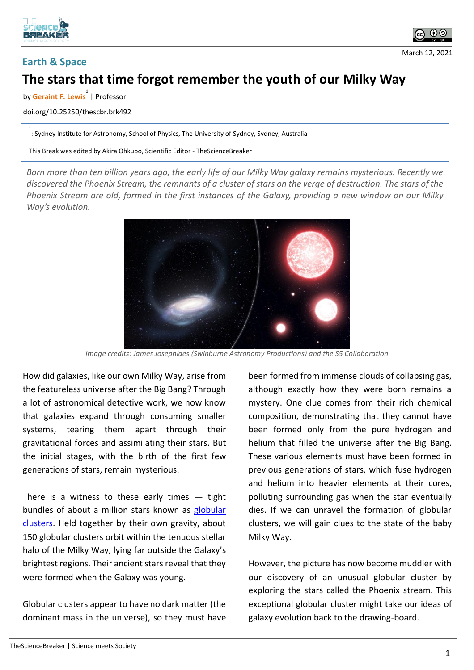



## **Earth & Space**

March 12, 2021

## **The stars that time forgot remember the youth of our Milky Way**

by **Geraint F. Lewis 1** | Professor

doi.org/10.25250/thescbr.brk492

1<br>: Sydney Institute for Astronomy, School of Physics, The University of Sydney, Sydney, Australia

This Break was edited by Akira Ohkubo, Scientific Editor - TheScienceBreaker

*Born more than ten billion years ago, the early life of our Milky Way galaxy remains mysterious. Recently we discovered the Phoenix Stream, the remnants of a cluster of stars on the verge of destruction. The stars of the Phoenix Stream are old, formed in the first instances of the Galaxy, providing a new window on our Milky Way's evolution.*



*Image credits: James Josephides (Swinburne Astronomy Productions) and the S5 Collaboration*

How did galaxies, like our own Milky Way, arise from the featureless universe after the Big Bang? Through a lot of astronomical detective work, we now know that galaxies expand through consuming smaller systems, tearing them apart through their gravitational forces and assimilating their stars. But the initial stages, with the birth of the first few generations of stars, remain mysterious.

There is a witness to these early times  $-$  tight bundles of about a million stars known as globular [clusters.](https://www.space.com/29717-globular-clusters.html) Held together by their own gravity, about 150 globular clusters orbit within the tenuous stellar halo of the Milky Way, lying far outside the Galaxy's brightest regions. Their ancient stars reveal that they were formed when the Galaxy was young.

Globular clusters appear to have no dark matter (the dominant mass in the universe), so they must have been formed from immense clouds of collapsing gas, although exactly how they were born remains a mystery. One clue comes from their rich chemical composition, demonstrating that they cannot have been formed only from the pure hydrogen and helium that filled the universe after the Big Bang. These various elements must have been formed in previous generations of stars, which fuse hydrogen and helium into heavier elements at their cores, polluting surrounding gas when the star eventually dies. If we can unravel the formation of globular clusters, we will gain clues to the state of the baby Milky Way.

However, the picture has now become muddier with our discovery of an unusual globular cluster by exploring the stars called the Phoenix stream. This exceptional globular cluster might take our ideas of galaxy evolution back to the drawing-board.